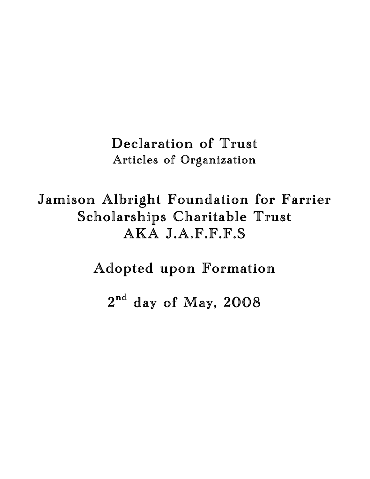Declaration of Trust Articles of Organization

Jamison Albright Foundation for Farrier Scholarships Charitable Trust AKA J.A.F.F.F.S

Adopted upon Formation

 $2^{\rm nd}$  day of May, 2008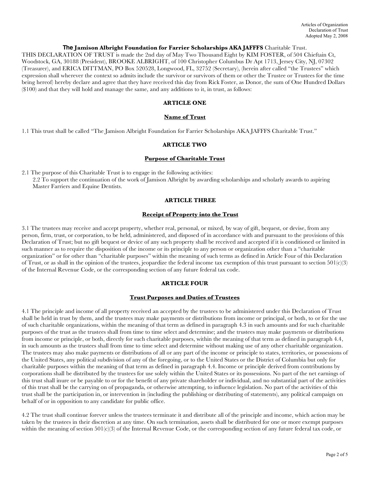## **The Jamison Albright Foundation for Farrier Scholarships AKA JAFFFS** Charitable Trust.

THIS DECLARATION OF TRUST is made the 2nd day of May Two Thousand Eight by KIM FOSTER, of 504 Chieftain Ct, Woodstock, GA, 30188 (President), BROOKE ALBRIGHT, of 100 Christopher Columbus Dr Apt 1713, Jersey City, NJ, 07302 (Treasurer), and ERICA DITTMAN, PO Box 520528, Longwood, FL, 32752 (Secretary), (herein after called "the Trustees" which expression shall wherever the context so admits include the survivor or survivors of them or other the Trustee or Trustees for the time being hereof) hereby declare and agree that they have received this day from Rick Foster, as Donor, the sum of One Hundred Dollars (\$100) and that they will hold and manage the same, and any additions to it, in trust, as follows:

## **ARTICLE ONE**

#### **Name of Trust**

1.1 This trust shall be called "The Jamison Albright Foundation for Farrier Scholarships AKA JAFFFS Charitable Trust."

## **ARTICLE TWO**

#### **Purpose of Charitable Trust**

2.1 The purpose of this Charitable Trust is to engage in the following activities: 2.2 To support the continuation of the work of Jamison Albright by awarding scholarships and scholarly awards to aspiring Master Farriers and Equine Dentists.

## **ARTICLE THREE**

#### **Receipt of Property into the Trust**

3.1 The trustees may receive and accept property, whether real, personal, or mixed, by way of gift, bequest, or devise, from any person, firm, trust, or corporation, to be held, administered, and disposed of in accordance with and pursuant to the provisions of this Declaration of Trust; but no gift bequest or device of any such property shall be received and accepted if it is conditioned or limited in such manner as to require the disposition of the income or its principle to any person or organization other than a "charitable organization" or for other than "charitable purposes" within the meaning of such terms as defined in Article Four of this Declaration of Trust, or as shall in the opinion of the trustees, jeopardize the federal income tax exemption of this trust pursuant to section 501(c)(3) of the Internal Revenue Code, or the corresponding section of any future federal tax code.

## **ARTICLE FOUR**

#### **Trust Purposes and Duties of Trustees**

4.1 The principle and income of all property received an accepted by the trustees to be administered under this Declaration of Trust shall be held in trust by them, and the trustees may make payments or distributions from income or principal, or both, to or for the use of such charitable organizations, within the meaning of that term as defined in paragraph 4.3 in such amounts and for such charitable purposes of the trust as the trustees shall from time to time select and determine; and the trustees may make payments or distributions from income or principle, or both, directly for such charitable purposes, within the meaning of that term as defined in paragraph 4.4, in such amounts as the trustees shall from time to time select and determine without making use of any other charitable organization. The trustees may also make payments or distributions of all or any part of the income or principle to states, territories, or possessions of the United States, any political subdivision of any of the foregoing, or to the United States or the District of Columbia but only for charitable purposes within the meaning of that term as defined in paragraph 4.4. Income or principle derived from contributions by corporations shall be distributed by the trustees for use solely within the United States or its possessions. No part of the net earnings of this trust shall inure or be payable to or for the benefit of any private shareholder or individual, and no substantial part of the activities of this trust shall be the carrying on of propaganda, or otherwise attempting, to influence legislation. No part of the activities of this trust shall be the participation in, or intervention in (including the publishing or distributing of statements), any political campaign on behalf of or in opposition to any candidate for public office.

4.2 The trust shall continue forever unless the trustees terminate it and distribute all of the principle and income, which action may be taken by the trustees in their discretion at any time. On such termination, assets shall be distributed for one or more exempt purposes within the meaning of section 501(c)(3) of the Internal Revenue Code, or the corresponding section of any future federal tax code, or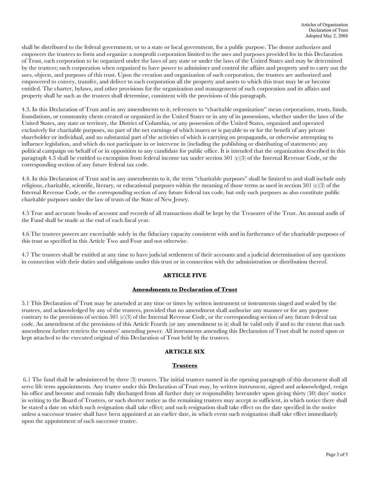shall be distributed to the federal government, or to a state or local government, for a public purpose. The donor authorizes and empowers the trustees to form and organize a nonprofit corporation limited to the uses and purposes provided for in this Declaration of Trust, such corporation to be organized under the laws of any state or under the laws of the United States and may be determined by the trustees; such corporation when organized to have power to administer and control the affairs and property and to carry out the uses, objects, and purposes of this trust. Upon the creation and organization of such corporation, the trustees are authorized and empowered to convey, transfer, and deliver to such corporation all the property and assets to which this trust may be or become entitled. The charter, bylaws, and other provisions for the organization and management of such corporation and its affairs and property shall be such as the trustees shall determine, consistent with the provisions of this paragraph.

4.3. In this Declaration of Trust and in any amendments to it, references to "charitable organization" mean corporations, trusts, funds, foundations, or community chests created or organized in the United States or in any of its possessions, whether under the laws of the United States, any state or territory, the District of Columbia, or any possession of the United States, organized and operated exclusively for charitable purposes, no part of the net earnings of which inures or is payable to or for the benefit of any private shareholder or individual, and no substantial part of the activities of which is carrying on propaganda, or otherwise attempting to influence legislation, and which do not participate in or intervene in (including the publishing or distributing of statements) any political campaign on behalf of or in opposition to any candidate for public office. It is intended that the organization described in this paragraph 4.3 shall be entitled to exemption from federal income tax under section 501 (c)(3) of the Internal Revenue Code, or the corresponding section of any future federal tax code.

4.4. In this Declaration of Trust and in any amendments to it, the term "charitable purposes" shall be limited to and shall include only religious, charitable, scientific, literary, or educational purposes within the meaning of those terms as used in section 501 (c)(3) of the Internal Revenue Code, or the corresponding section of any future federal tax code, but only such purposes as also constitute public charitable purposes under the law of trusts of the State of New Jersey.

4.5 True and accurate books of account and records of all transactions shall be kept by the Treasurer of the Trust. An annual audit of the Fund shall be made at the end of each fiscal year.

4.6 The trustees powers are exercisable solely in the fiduciary capacity consistent with and in furtherance of the charitable purposes of this trust as specified in this Article Two and Four and not otherwise.

4.7 The trustees shall be entitled at any time to have judicial settlement of their accounts and a judicial determination of any questions in connection with their duties and obligations under this trust or in connection with the administration or distribution thereof.

# **ARTICLE FIVE**

## **Amendments to Declaration of Trust**

5.1 This Declaration of Trust may be amended at any time or times by written instrument or instruments singed and sealed by the trustees, and acknowledged by any of the trustees, provided that no amendment shall authorize any manner or for any purpose contrary to the provisions of section 501 (c)(3) of the Internal Revenue Code, or the corresponding section of any future federal tax code. An amendment of the provisions of this Article Fourth (or any amendment to it) shall be valid only if and to the extent that such amendment further restricts the trustees' amending power. All instruments amending this Declaration of Trust shall be noted upon or kept attached to the executed original of this Declaration of Trust held by the trustees.

# **ARTICLE SIX**

#### **Trustees**

6.1 The fund shall be administered by three (3) trustees. The initial trustees named in the opening paragraph of this document shall all serve life term appointments. Any trustee under this Declaration of Trust may, by written instrument, signed and acknowledged, resign his office and become and remain fully discharged from all further duty or responsibility hereunder upon giving thirty (30) days' notice in writing to the Board of Trustees, or such shorter notice as the remaining trustees may accept as sufficient, in which notice there shall be stated a date on which such resignation shall take effect; and such resignation shall take effect on the date specified in the notice unless a successor trustee shall have been appointed at an earlier date, in which event such resignation shall take effect immediately upon the appointment of such successor trustee.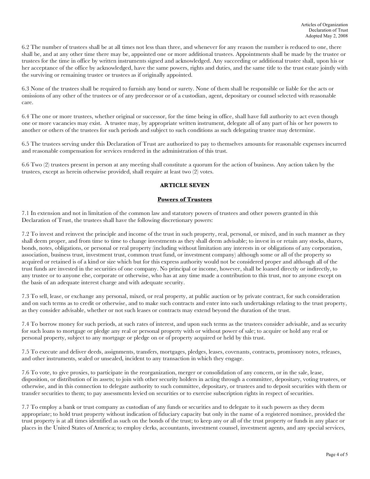6.2 The number of trustees shall be at all times not less than three, and whenever for any reason the number is reduced to one, there shall be, and at any other time there may be, appointed one or more additional trustees. Appointments shall be made by the trustee or trustees for the time in office by written instruments signed and acknowledged. Any succeeding or additional trustee shall, upon his or her acceptance of the office by acknowledged, have the same powers, rights and duties, and the same title to the trust estate jointly with the surviving or remaining trustee or trustees as if originally appointed.

6.3 None of the trustees shall be required to furnish any bond or surety. None of them shall be responsible or liable for the acts or omissions of any other of the trustees or of any predecessor or of a custodian, agent, depositary or counsel selected with reasonable care.

6.4 The one or more trustees, whether original or successor, for the time being in office, shall have full authority to act even though one or more vacancies may exist. A trustee may, by appropriate written instrument, delegate all of any part of his or her powers to another or others of the trustees for such periods and subject to such conditions as such delegating trustee may determine.

6.5 The trustees serving under this Declaration of Trust are authorized to pay to themselves amounts for reasonable expenses incurred and reasonable compensation for services rendered in the administration of this trust.

6.6 Two (2) trustees present in person at any meeting shall constitute a quorum for the action of business. Any action taken by the trustees, except as herein otherwise provided, shall require at least two (2) votes.

# **ARTICLE SEVEN**

# **Powers of Trustees**

7.1 In extension and not in limitation of the common law and statutory powers of trustees and other powers granted in this Declaration of Trust, the trustees shall have the following discretionary powers:

7.2 To invest and reinvest the principle and income of the trust in such property, real, personal, or mixed, and in such manner as they shall deem proper, and from time to time to change investments as they shall deem advisable; to invest in or retain any stocks, shares, bonds, notes, obligations, or personal or real property (including without limitation any interests in or obligations of any corporation, association, business trust, investment trust, common trust fund, or investment company) although some or all of the property so acquired or retained is of a kind or size which but for this express authority would not be considered proper and although all of the trust funds are invested in the securities of one company. No principal or income, however, shall be loaned directly or indirectly, to any trustee or to anyone else, corporate or otherwise, who has at any time made a contribution to this trust, nor to anyone except on the basis of an adequate interest charge and with adequate security.

7.3 To sell, lease, or exchange any personal, mixed, or real property, at public auction or by private contract, for such consideration and on such terms as to credit or otherwise, and to make such contracts and enter into such undertakings relating to the trust property, as they consider advisable, whether or not such leases or contracts may extend beyond the duration of the trust.

7.4 To borrow money for such periods, at such rates of interest, and upon such terms as the trustees consider advisable, and as security for such loans to mortgage or pledge any real or personal property with or without power of sale; to acquire or hold any real or personal property, subject to any mortgage or pledge on or of property acquired or held by this trust.

7.5 To execute and deliver deeds, assignments, transfers, mortgages, pledges, leases, covenants, contracts, promissory notes, releases, and other instruments, sealed or unsealed, incident to any transaction in which they engage.

7.6 To vote, to give proxies, to participate in the reorganization, merger or consolidation of any concern, or in the sale, lease, disposition, or distribution of its assets; to join with other security holders in acting through a committee, depositary, voting trustees, or otherwise, and in this connection to delegate authority to such committee, depositary, or trustees and to deposit securities with them or transfer securities to them; to pay assessments levied on securities or to exercise subscription rights in respect of securities.

7.7 To employ a bank or trust company as custodian of any funds or securities and to delegate to it such powers as they deem appropriate; to hold trust property without indication of fiduciary capacity but only in the name of a registered nominee, provided the trust property is at all times identified as such on the bonds of the trust; to keep any or all of the trust property or funds in any place or places in the United States of America; to employ clerks, accountants, investment counsel, investment agents, and any special services,